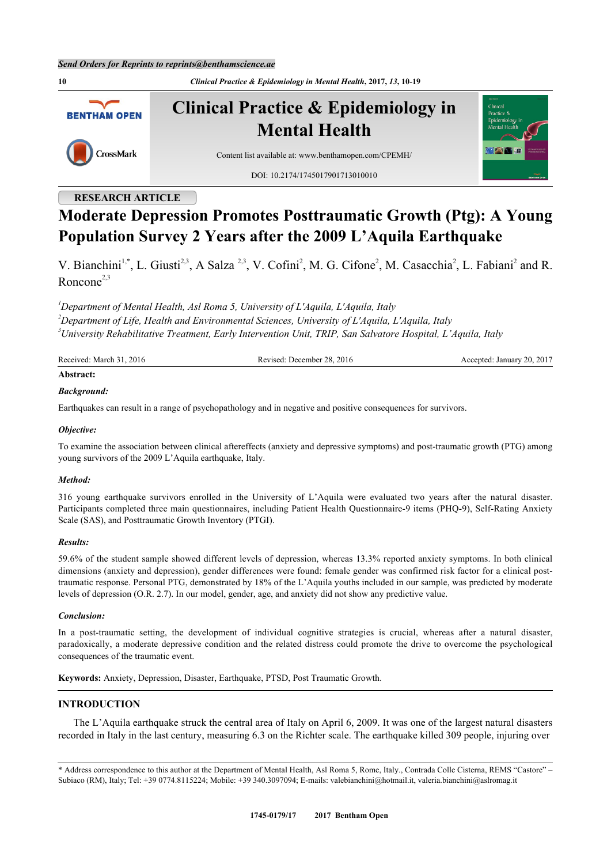**10** *Clinical Practice & Epidemiology in Mental Health***, 2017,** *13***, 10-19 Clinical Practice & Epidemiology in BENTHAM OPEN Mental Health** CrossMark Content list available at: [www.benthamopen.com/CPEMH/](http://www.benthamopen.com/CPEMH/) DOI: [10.2174/1745017901713010010](http://dx.doi.org/10.2174/1745017901713010010)

# **RESEARCH ARTICLE**

# **Moderate Depression Promotes Posttraumatic Growth (Ptg): A Young Population Survey 2 Years after the 2009 L'Aquila Earthquake**

V. Bianchini<sup>[1,](#page-0-0)[\\*](#page-0-1)</sup>, L. Giusti<sup>[2](#page-0-2)[,3](#page-0-3)</sup>, A Salza<sup>2,[3](#page-0-3)</sup>, V. Cofini<sup>2</sup>, M. G. Cifone<sup>2</sup>, M. Casacchia<sup>2</sup>, L. Fabiani<sup>2</sup> and R. Roncone<sup>[2,](#page-0-2)[3](#page-0-3)</sup>

<span id="page-0-2"></span><span id="page-0-0"></span>*<sup>1</sup>Department of Mental Health, Asl Roma 5, University of L'Aquila, L'Aquila, Italy <sup>2</sup>Department of Life, Health and Environmental Sciences, University of L'Aquila, L'Aquila, Italy <sup>3</sup>University Rehabilitative Treatment, Early Intervention Unit, TRIP, San Salvatore Hospital, L'Aquila, Italy*

<span id="page-0-3"></span>

| Received: March 31, 2016 | Revised: December 28, 2016 | Accepted: January 20, 2017 |
|--------------------------|----------------------------|----------------------------|
| Abstract:                |                            |                            |

# *Background:*

Earthquakes can result in a range of psychopathology and in negative and positive consequences for survivors.

### *Objective:*

To examine the association between clinical aftereffects (anxiety and depressive symptoms) and post-traumatic growth (PTG) among young survivors of the 2009 L'Aquila earthquake, Italy.

#### *Method:*

316 young earthquake survivors enrolled in the University of L'Aquila were evaluated two years after the natural disaster. Participants completed three main questionnaires, including Patient Health Questionnaire-9 items (PHQ-9), Self-Rating Anxiety Scale (SAS), and Posttraumatic Growth Inventory (PTGI).

#### *Results:*

59.6% of the student sample showed different levels of depression, whereas 13.3% reported anxiety symptoms. In both clinical dimensions (anxiety and depression), gender differences were found: female gender was confirmed risk factor for a clinical posttraumatic response. Personal PTG, demonstrated by 18% of the L'Aquila youths included in our sample, was predicted by moderate levels of depression (O.R. 2.7). In our model, gender, age, and anxiety did not show any predictive value.

#### *Conclusion:*

In a post-traumatic setting, the development of individual cognitive strategies is crucial, whereas after a natural disaster, paradoxically, a moderate depressive condition and the related distress could promote the drive to overcome the psychological consequences of the traumatic event.

**Keywords:** Anxiety, Depression, Disaster, Earthquake, PTSD, Post Traumatic Growth.

# **INTRODUCTION**

The L'Aquila earthquake struck the central area of Italy on April 6, 2009. It was one of the largest natural disasters recorded in Italy in the last century, measuring 6.3 on the Richter scale. The earthquake killed 309 people, injuring over

<span id="page-0-1"></span><sup>\*</sup> Address correspondence to this author at the Department of Mental Health, Asl Roma 5, Rome, Italy., Contrada Colle Cisterna, REMS "Castore" – Subiaco (RM), Italy; Tel: +39 0774.8115224; Mobile: +39 340.3097094; E-mails: [valebianchini@hotmail.it](mailto:valebianchini@hotmail.it), [valeria.bianchini@aslromag.it](mailto:valeria.bianchini@aslromag.it)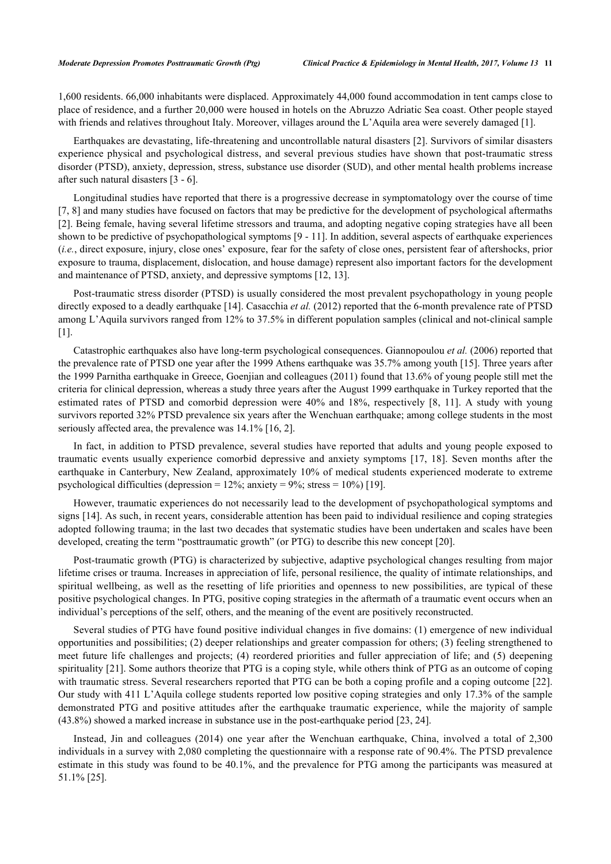1,600 residents. 66,000 inhabitants were displaced. Approximately 44,000 found accommodation in tent camps close to place of residence, and a further 20,000 were housed in hotels on the Abruzzo Adriatic Sea coast. Other people stayed with friends and relatives throughout Italy. Moreover, villages around the L'Aquila area were severely damaged [\[1](#page-7-0)].

Earthquakes are devastating, life-threatening and uncontrollable natural disasters [[2](#page-7-1)]. Survivors of similar disasters experience physical and psychological distress, and several previous studies have shown that post-traumatic stress disorder (PTSD), anxiety, depression, stress, substance use disorder (SUD), and other mental health problems increase after such natural disasters [[3](#page-7-2) - [6](#page-7-3)].

Longitudinal studies have reported that there is a progressive decrease in symptomatology over the course of time [\[7](#page-7-4), [8](#page-7-5)] and many studies have focused on factors that may be predictive for the development of psychological aftermaths [\[2](#page-7-1)]. Being female, having several lifetime stressors and trauma, and adopting negative coping strategies have all been shown to be predictive of psychopathological symptoms [[9](#page-7-6) - [11](#page-7-7)]. In addition, several aspects of earthquake experiences (*i.e.*, direct exposure, injury, close ones' exposure, fear for the safety of close ones, persistent fear of aftershocks, prior exposure to trauma, displacement, dislocation, and house damage) represent also important factors for the development and maintenance of PTSD, anxiety, and depressive symptoms [[12,](#page-7-8) [13\]](#page-7-9).

Post-traumatic stress disorder (PTSD) is usually considered the most prevalent psychopathology in young people directly exposed to a deadly earthquake [[14\]](#page-7-10). Casacchia *et al.* (2012) reported that the 6-month prevalence rate of PTSD among L'Aquila survivors ranged from 12% to 37.5% in different population samples (clinical and not-clinical sample [\[1](#page-7-0)].

Catastrophic earthquakes also have long-term psychological consequences. Giannopoulou *et al.* (2006) reported that the prevalence rate of PTSD one year after the 1999 Athens earthquake was 35.7% among youth [[15\]](#page-7-11). Three years after the 1999 Parnitha earthquake in Greece, Goenjian and colleagues (2011) found that 13.6% of young people still met the criteria for clinical depression, whereas a study three years after the August 1999 earthquake in Turkey reported that the estimated rates of PTSD and comorbid depression were 40% and 18%, respectively[[8,](#page-7-5) [11\]](#page-7-7). A study with young survivors reported 32% PTSD prevalence six years after the Wenchuan earthquake; among college students in the most seriously affected area, the prevalence was 14.1% [[16,](#page-8-0) [2\]](#page-7-1).

In fact, in addition to PTSD prevalence, several studies have reported that adults and young people exposed to traumatic events usually experience comorbid depressive and anxiety symptoms[[17,](#page-8-1) [18\]](#page-8-2). Seven months after the earthquake in Canterbury, New Zealand, approximately 10% of medical students experienced moderate to extreme psychological difficulties (depression =  $12\%$ ; anxiety =  $9\%$ ; stress =  $10\%$ ) [[19\]](#page-8-3).

However, traumatic experiences do not necessarily lead to the development of psychopathological symptoms and signs [[14\]](#page-7-10). As such, in recent years, considerable attention has been paid to individual resilience and coping strategies adopted following trauma; in the last two decades that systematic studies have been undertaken and scales have been developed, creating the term "posttraumatic growth" (or PTG) to describe this new concept [[20\]](#page-8-4).

Post-traumatic growth (PTG) is characterized by subjective, adaptive psychological changes resulting from major lifetime crises or trauma. Increases in appreciation of life, personal resilience, the quality of intimate relationships, and spiritual wellbeing, as well as the resetting of life priorities and openness to new possibilities, are typical of these positive psychological changes. In PTG, positive coping strategies in the aftermath of a traumatic event occurs when an individual's perceptions of the self, others, and the meaning of the event are positively reconstructed.

Several studies of PTG have found positive individual changes in five domains: (1) emergence of new individual opportunities and possibilities; (2) deeper relationships and greater compassion for others; (3) feeling strengthened to meet future life challenges and projects; (4) reordered priorities and fuller appreciation of life; and (5) deepening spirituality [[21\]](#page-8-5). Some authors theorize that PTG is a coping style, while others think of PTG as an outcome of coping with traumatic stress. Several researchers reported that PTG can be both a coping profile and a coping outcome [\[22\]](#page-8-6). Our study with 411 L'Aquila college students reported low positive coping strategies and only 17.3% of the sample demonstrated PTG and positive attitudes after the earthquake traumatic experience, while the majority of sample (43.8%) showed a marked increase in substance use in the post-earthquake period [[23,](#page-8-7) [24\]](#page-8-8).

Instead, Jin and colleagues (2014) one year after the Wenchuan earthquake, China, involved a total of 2,300 individuals in a survey with 2,080 completing the questionnaire with a response rate of 90.4%. The PTSD prevalence estimate in this study was found to be 40.1%, and the prevalence for PTG among the participants was measured at 51.1% [\[25](#page-8-9)].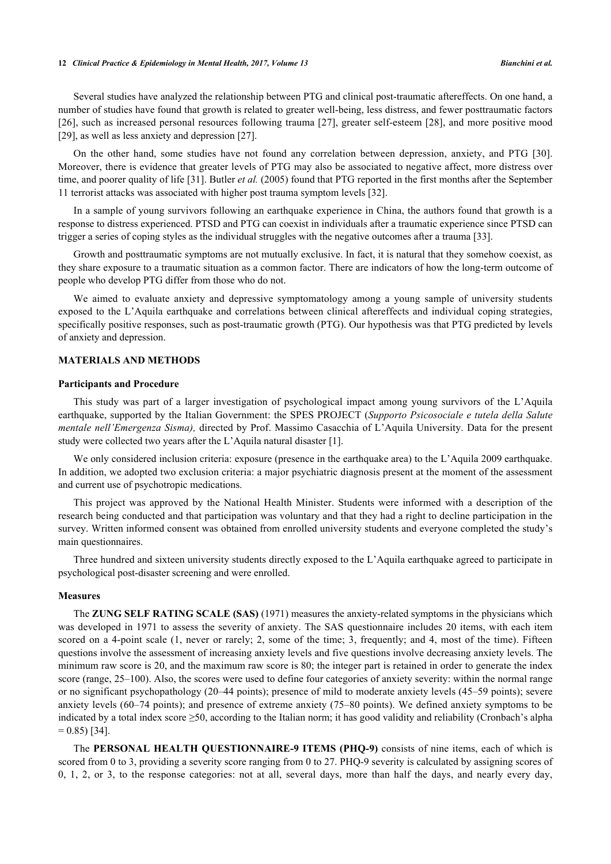#### **12** *Clinical Practice & Epidemiology in Mental Health, 2017, Volume 13 Bianchini et al.*

Several studies have analyzed the relationship between PTG and clinical post-traumatic aftereffects. On one hand, a number of studies have found that growth is related to greater well-being, less distress, and fewer posttraumatic factors [\[26](#page-8-10)], such as increased personal resources following trauma [\[27\]](#page-8-11), greater self-esteem [[28](#page-8-12)], and more positive mood [\[29](#page-8-13)], as well as less anxiety and depression [[27\]](#page-8-11).

On the other hand, some studies have not found any correlation between depression, anxiety, and PTG [\[30\]](#page-8-14). Moreover, there is evidence that greater levels of PTG may also be associated to negative affect, more distress over time, and poorer quality of life [[31\]](#page-8-15). Butler *et al.* (2005) found that PTG reported in the first months after the September 11 terrorist attacks was associated with higher post trauma symptom levels [[32\]](#page-8-16).

In a sample of young survivors following an earthquake experience in China, the authors found that growth is a response to distress experienced. PTSD and PTG can coexist in individuals after a traumatic experience since PTSD can trigger a series of coping styles as the individual struggles with the negative outcomes after a trauma [[33\]](#page-8-17).

Growth and posttraumatic symptoms are not mutually exclusive. In fact, it is natural that they somehow coexist, as they share exposure to a traumatic situation as a common factor. There are indicators of how the long-term outcome of people who develop PTG differ from those who do not.

We aimed to evaluate anxiety and depressive symptomatology among a young sample of university students exposed to the L'Aquila earthquake and correlations between clinical aftereffects and individual coping strategies, specifically positive responses, such as post-traumatic growth (PTG). Our hypothesis was that PTG predicted by levels of anxiety and depression.

# **MATERIALS AND METHODS**

#### **Participants and Procedure**

This study was part of a larger investigation of psychological impact among young survivors of the L'Aquila earthquake, supported by the Italian Government: the SPES PROJECT (*Supporto Psicosociale e tutela della Salute mentale nell'Emergenza Sisma),* directed by Prof. Massimo Casacchia of L'Aquila University. Data for the present study were collected two years after the L'Aquila natural disaster [[1\]](#page-7-0).

We only considered inclusion criteria: exposure (presence in the earthquake area) to the L'Aquila 2009 earthquake. In addition, we adopted two exclusion criteria: a major psychiatric diagnosis present at the moment of the assessment and current use of psychotropic medications.

This project was approved by the National Health Minister. Students were informed with a description of the research being conducted and that participation was voluntary and that they had a right to decline participation in the survey. Written informed consent was obtained from enrolled university students and everyone completed the study's main questionnaires.

Three hundred and sixteen university students directly exposed to the L'Aquila earthquake agreed to participate in psychological post-disaster screening and were enrolled.

#### **Measures**

The **ZUNG SELF RATING SCALE (SAS)** (1971) measures the anxiety-related symptoms in the physicians which was developed in 1971 to assess the severity of anxiety. The SAS questionnaire includes 20 items, with each item scored on a 4-point scale (1, never or rarely; 2, some of the time; 3, frequently; and 4, most of the time). Fifteen questions involve the assessment of increasing anxiety levels and five questions involve decreasing anxiety levels. The minimum raw score is 20, and the maximum raw score is 80; the integer part is retained in order to generate the index score (range, 25–100). Also, the scores were used to define four categories of anxiety severity: within the normal range or no significant psychopathology (20–44 points); presence of mild to moderate anxiety levels (45–59 points); severe anxiety levels (60–74 points); and presence of extreme anxiety (75–80 points). We defined anxiety symptoms to be indicated by a total index score ≥50, according to the Italian norm; it has good validity and reliability (Cronbach's alpha  $= 0.85$ ) [\[34](#page-8-18)].

The **PERSONAL HEALTH QUESTIONNAIRE-9 ITEMS (PHQ-9)** consists of nine items, each of which is scored from 0 to 3, providing a severity score ranging from 0 to 27. PHQ-9 severity is calculated by assigning scores of 0, 1, 2, or 3, to the response categories: not at all, several days, more than half the days, and nearly every day,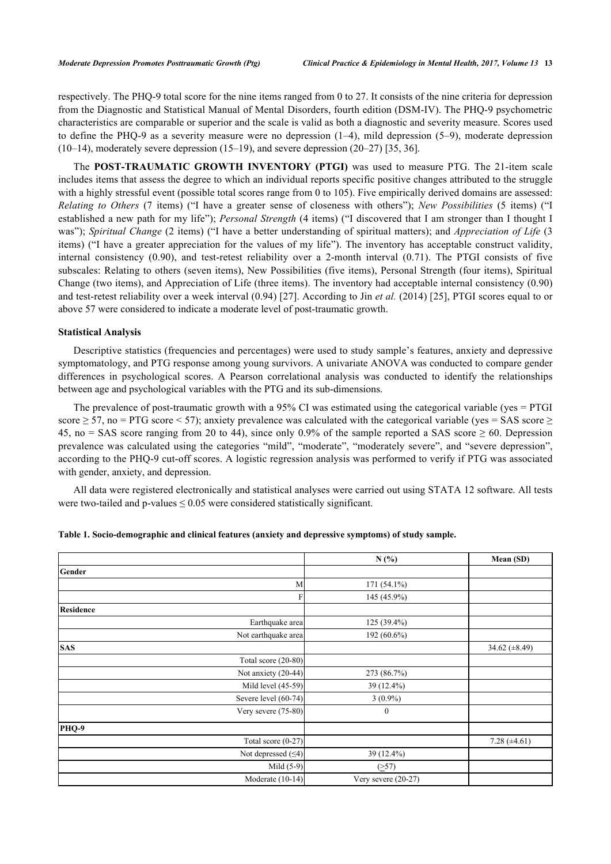respectively. The PHQ-9 total score for the nine items ranged from 0 to 27. It consists of the nine criteria for depression from the Diagnostic and Statistical Manual of Mental Disorders, fourth edition (DSM-IV). The PHQ-9 psychometric characteristics are comparable or superior and the scale is valid as both a diagnostic and severity measure. Scores used to define the PHQ-9 as a severity measure were no depression (1–4), mild depression (5–9), moderate depression (10–14), moderately severe depression (15–19), and severe depression (20–27) [[35,](#page-8-19) [36\]](#page-9-0).

The **POST-TRAUMATIC GROWTH INVENTORY (PTGI)** was used to measure PTG. The 21-item scale includes items that assess the degree to which an individual reports specific positive changes attributed to the struggle with a highly stressful event (possible total scores range from 0 to 105). Five empirically derived domains are assessed: *Relating to Others* (7 items) ("I have a greater sense of closeness with others"); *New Possibilities* (5 items) ("I established a new path for my life"); *Personal Strength* (4 items) ("I discovered that I am stronger than I thought I was"); *Spiritual Change* (2 items) ("I have a better understanding of spiritual matters); and *Appreciation of Life* (3 items) ("I have a greater appreciation for the values of my life"). The inventory has acceptable construct validity, internal consistency (0.90), and test-retest reliability over a 2-month interval (0.71). The PTGI consists of five subscales: Relating to others (seven items), New Possibilities (five items), Personal Strength (four items), Spiritual Change (two items), and Appreciation of Life (three items). The inventory had acceptable internal consistency (0.90) and test-retest reliability over a week interval (0.94) [[27](#page-8-11)]. According to Jin *et al.* (2014) [\[25\]](#page-8-9), PTGI scores equal to or above 57 were considered to indicate a moderate level of post-traumatic growth.

# **Statistical Analysis**

Descriptive statistics (frequencies and percentages) were used to study sample's features, anxiety and depressive symptomatology, and PTG response among young survivors. A univariate ANOVA was conducted to compare gender differences in psychological scores. A Pearson correlational analysis was conducted to identify the relationships between age and psychological variables with the PTG and its sub-dimensions.

The prevalence of post-traumatic growth with a 95% CI was estimated using the categorical variable (yes = PTGI score  $\geq$  57, no = PTG score < 57); anxiety prevalence was calculated with the categorical variable (yes = SAS score  $\geq$ 45, no = SAS score ranging from 20 to 44), since only 0.9% of the sample reported a SAS score  $\geq 60$ . Depression prevalence was calculated using the categories "mild", "moderate", "moderately severe", and "severe depression", according to the PHQ-9 cut-off scores. A logistic regression analysis was performed to verify if PTG was associated with gender, anxiety, and depression.

All data were registered electronically and statistical analyses were carried out using STATA 12 software. All tests were two-tailed and p-values  $\leq 0.05$  were considered statistically significant.

|                          | N(%)                  | Mean (SD)          |
|--------------------------|-----------------------|--------------------|
| Gender                   |                       |                    |
| M                        | 171 (54.1%)           |                    |
| F                        | 145 (45.9%)           |                    |
| Residence                |                       |                    |
| Earthquake area          | 125 (39.4%)           |                    |
| Not earthquake area      | 192 (60.6%)           |                    |
| <b>SAS</b>               |                       | 34.62 $(\pm 8.49)$ |
| Total score (20-80)      |                       |                    |
| Not anxiety (20-44)      | 273 (86.7%)           |                    |
| Mild level (45-59)       | 39 (12.4%)            |                    |
| Severe level $(60-74)$   | $3(0.9\%)$            |                    |
| Very severe $(75-80)$    | $\boldsymbol{0}$      |                    |
| PHQ-9                    |                       |                    |
| Total score $(0-27)$     |                       | 7.28 $(\pm 4.61)$  |
| Not depressed $(\leq 4)$ | 39 (12.4%)            |                    |
| Mild $(5-9)$             | (257)                 |                    |
| Moderate (10-14)         | Very severe $(20-27)$ |                    |

<span id="page-3-0"></span>

|  | Table 1. Socio-demographic and clinical features (anxiety and depressive symptoms) of study sample. |  |  |  |  |  |  |
|--|-----------------------------------------------------------------------------------------------------|--|--|--|--|--|--|
|--|-----------------------------------------------------------------------------------------------------|--|--|--|--|--|--|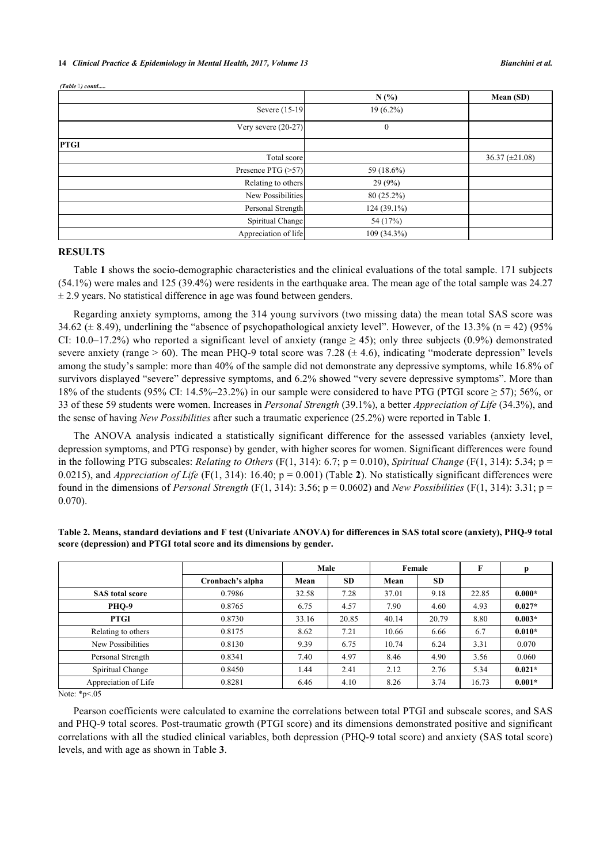|                           | N(%)          | Mean (SD)             |
|---------------------------|---------------|-----------------------|
| Severe (15-19)            | $19(6.2\%)$   |                       |
| Very severe $(20-27)$     | $\mathbf{0}$  |                       |
| <b>PTGI</b>               |               |                       |
| Total score               |               | $36.37 \ (\pm 21.08)$ |
| Presence PTG $($ >57) $ $ | 59 (18.6%)    |                       |
| Relating to others        | 29(9%)        |                       |
| New Possibilities         | 80 (25.2%)    |                       |
| Personal Strength         | $124(39.1\%)$ |                       |
| Spiritual Change          | 54 (17%)      |                       |
| Appreciation of life      | 109 (34.3%)   |                       |

# **RESULTS**

*(Table ) contd.....*

Table **[1](#page-3-0)** shows the socio-demographic characteristics and the clinical evaluations of the total sample. 171 subjects (54.1%) were males and 125 (39.4%) were residents in the earthquake area. The mean age of the total sample was 24.27  $\pm$  2.9 years. No statistical difference in age was found between genders.

Regarding anxiety symptoms, among the 314 young survivors (two missing data) the mean total SAS score was 34.62 ( $\pm$  8.49), underlining the "absence of psychopathological anxiety level". However, of the 13.3% (n = 42) (95%) CI: 10.0–17.2%) who reported a significant level of anxiety (range  $\geq$  45); only three subjects (0.9%) demonstrated severe anxiety (range  $> 60$ ). The mean PHQ-9 total score was 7.28 ( $\pm$  4.6), indicating "moderate depression" levels among the study's sample: more than 40% of the sample did not demonstrate any depressive symptoms, while 16.8% of survivors displayed "severe" depressive symptoms, and 6.2% showed "very severe depressive symptoms". More than 18% of the students (95% CI: 14.5%–23.2%) in our sample were considered to have PTG (PTGI score ≥ 57); 56%, or 33 of these 59 students were women. Increases in *Personal Strength* (39.1%), a better *Appreciation of Life* (34.3%), and the sense of having *New Possibilities* after such a traumatic experience (25.2%) were reported in Table **[1](#page-3-0)**.

The ANOVA analysis indicated a statistically significant difference for the assessed variables (anxiety level, depression symptoms, and PTG response) by gender, with higher scores for women. Significant differences were found in the following PTG subscales: *Relating to Others* (F(1, 314): 6.7;  $p = 0.010$ ), *Spiritual Change* (F(1, 314): 5.34;  $p =$ 0.0[2](#page-4-0)15), and *Appreciation of Life* (F(1, 314): 16.40;  $p = 0.001$ ) (Table 2). No statistically significant differences were found in the dimensions of *Personal Strength* (F(1, 314): 3.56;  $p = 0.0602$ ) and *New Possibilities* (F(1, 314): 3.31;  $p =$ 0.070).

<span id="page-4-0"></span>**Table 2. Means, standard deviations and F test (Univariate ANOVA) for differences in SAS total score (anxiety), PHQ-9 total score (depression) and PTGI total score and its dimensions by gender.**

|                                                                   |                  | Male  |           | Female |           | F     |          |
|-------------------------------------------------------------------|------------------|-------|-----------|--------|-----------|-------|----------|
|                                                                   | Cronbach's alpha | Mean  | <b>SD</b> | Mean   | <b>SD</b> |       |          |
| <b>SAS</b> total score                                            | 0.7986           | 32.58 | 7.28      | 37.01  | 9.18      | 22.85 | $0.000*$ |
| PHO-9                                                             | 0.8765           | 6.75  | 4.57      | 7.90   | 4.60      | 4.93  | $0.027*$ |
| <b>PTGI</b>                                                       | 0.8730           | 33.16 | 20.85     | 40.14  | 20.79     | 8.80  | $0.003*$ |
| Relating to others                                                | 0.8175           | 8.62  | 7.21      | 10.66  | 6.66      | 6.7   | $0.010*$ |
| New Possibilities                                                 | 0.8130           | 9.39  | 6.75      | 10.74  | 6.24      | 3.31  | 0.070    |
| Personal Strength                                                 | 0.8341           | 7.40  | 4.97      | 8.46   | 4.90      | 3.56  | 0.060    |
| Spiritual Change                                                  | 0.8450           | 1.44  | 2.41      | 2.12   | 2.76      | 5.34  | $0.021*$ |
| Appreciation of Life<br>$\sim$ $\sim$ $\sim$ $\sim$ $\sim$ $\sim$ | 0.8281           | 6.46  | 4.10      | 8.26   | 3.74      | 16.73 | $0.001*$ |

Note: \*p<.05

Pearson coefficients were calculated to examine the correlations between total PTGI and subscale scores, and SAS and PHQ-9 total scores. Post-traumatic growth (PTGI score) and its dimensions demonstrated positive and significant correlations with all the studied clinical variables, both depression (PHQ-9 total score) and anxiety (SAS total score) levels, and with age as shown in Table **[3](#page-5-0)**.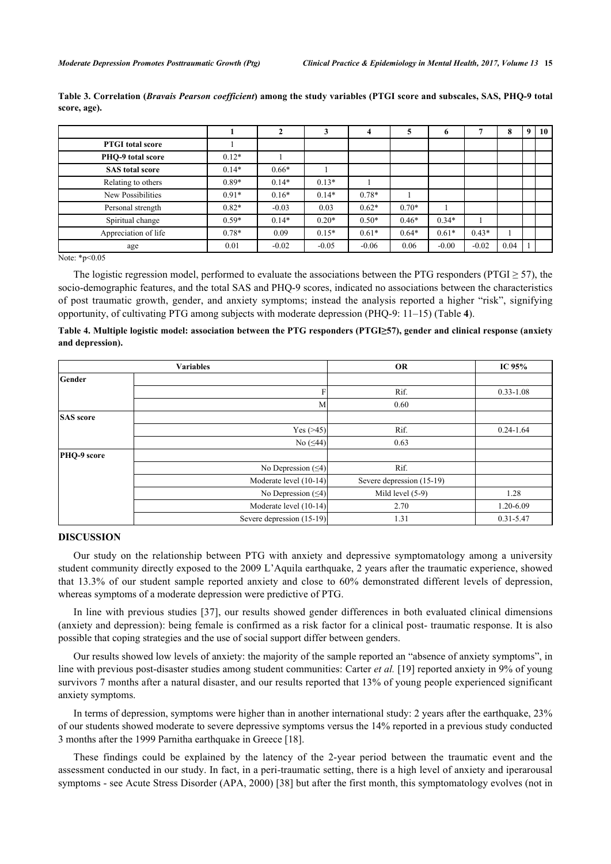<span id="page-5-0"></span>

| Table 3. Correlation (Bravais Pearson coefficient) among the study variables (PTGI score and subscales, SAS, PHQ-9 total |  |  |  |  |
|--------------------------------------------------------------------------------------------------------------------------|--|--|--|--|
| score, age).                                                                                                             |  |  |  |  |

|                         |         |         |         | 4       | 5       | 6       |         | 8    | 9 | 10 |
|-------------------------|---------|---------|---------|---------|---------|---------|---------|------|---|----|
| <b>PTGI</b> total score |         |         |         |         |         |         |         |      |   |    |
| PHO-9 total score       | $0.12*$ |         |         |         |         |         |         |      |   |    |
| <b>SAS</b> total score  | $0.14*$ | $0.66*$ |         |         |         |         |         |      |   |    |
| Relating to others      | $0.89*$ | $0.14*$ | $0.13*$ |         |         |         |         |      |   |    |
| New Possibilities       | $0.91*$ | $0.16*$ | $0.14*$ | $0.78*$ |         |         |         |      |   |    |
| Personal strength       | $0.82*$ | $-0.03$ | 0.03    | $0.62*$ | $0.70*$ |         |         |      |   |    |
| Spiritual change        | $0.59*$ | $0.14*$ | $0.20*$ | $0.50*$ | $0.46*$ | $0.34*$ |         |      |   |    |
| Appreciation of life    | $0.78*$ | 0.09    | $0.15*$ | $0.61*$ | $0.64*$ | $0.61*$ | $0.43*$ |      |   |    |
| age                     | 0.01    | $-0.02$ | $-0.05$ | $-0.06$ | 0.06    | $-0.00$ | $-0.02$ | 0.04 |   |    |

Note: \*p<0.05

The logistic regression model, performed to evaluate the associations between the PTG responders (PTGI  $\geq$  57), the socio-demographic features, and the total SAS and PHQ-9 scores, indicated no associations between the characteristics of post traumatic growth, gender, and anxiety symptoms; instead the analysis reported a higher "risk", signifying opportunity, of cultivating PTG among subjects with moderate depression (PHQ-9: 11–15) (Table **[4](#page-5-1)**).

<span id="page-5-1"></span>

| Table 4. Multiple logistic model: association between the PTG responders (PTGI257), gender and clinical response (anxiety |  |  |  |
|---------------------------------------------------------------------------------------------------------------------------|--|--|--|
| and depression).                                                                                                          |  |  |  |

|                  | <b>Variables</b>          | <b>OR</b>                 | IC 95%        |
|------------------|---------------------------|---------------------------|---------------|
| Gender           |                           |                           |               |
|                  |                           | Rif.                      | $0.33 - 1.08$ |
|                  | M                         | 0.60                      |               |
| <b>SAS</b> score |                           |                           |               |
|                  | Yes $( >45)$              | Rif.                      | $0.24 - 1.64$ |
|                  | No $(≤44)$                | 0.63                      |               |
| PHQ-9 score      |                           |                           |               |
|                  | No Depression $(≤4)$      | Rif.                      |               |
|                  | Moderate level $(10-14)$  | Severe depression (15-19) |               |
|                  | No Depression $(≤4)$      | Mild level $(5-9)$        | 1.28          |
|                  | Moderate level $(10-14)$  | 2.70                      | 1.20-6.09     |
|                  | Severe depression (15-19) | 1.31                      | $0.31 - 5.47$ |

#### **DISCUSSION**

Our study on the relationship between PTG with anxiety and depressive symptomatology among a university student community directly exposed to the 2009 L'Aquila earthquake, 2 years after the traumatic experience, showed that 13.3% of our student sample reported anxiety and close to 60% demonstrated different levels of depression, whereas symptoms of a moderate depression were predictive of PTG.

In line with previous studies [[37](#page-9-1)], our results showed gender differences in both evaluated clinical dimensions (anxiety and depression): being female is confirmed as a risk factor for a clinical post- traumatic response. It is also possible that coping strategies and the use of social support differ between genders.

Our results showed low levels of anxiety: the majority of the sample reported an "absence of anxiety symptoms", in line with previous post-disaster studies among student communities: Carter *et al.* [[19\]](#page-8-3) reported anxiety in 9% of young survivors 7 months after a natural disaster, and our results reported that 13% of young people experienced significant anxiety symptoms.

In terms of depression, symptoms were higher than in another international study: 2 years after the earthquake, 23% of our students showed moderate to severe depressive symptoms versus the 14% reported in a previous study conducted 3 months after the 1999 Parnitha earthquake in Greece [[18\]](#page-8-2).

These findings could be explained by the latency of the 2-year period between the traumatic event and the assessment conducted in our study. In fact, in a peri-traumatic setting, there is a high level of anxiety and iperarousal symptoms - see Acute Stress Disorder (APA, 2000) [\[38\]](#page-9-2) but after the first month, this symptomatology evolves (not in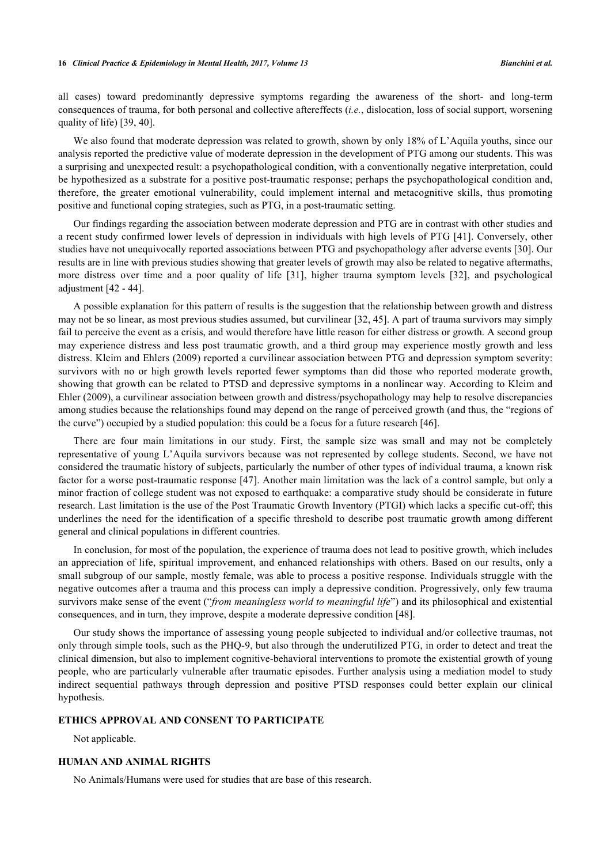all cases) toward predominantly depressive symptoms regarding the awareness of the short- and long-term consequences of trauma, for both personal and collective aftereffects (*i.e.*, dislocation, loss of social support, worsening quality of life) [\[39](#page-9-3), [40](#page-9-4)].

We also found that moderate depression was related to growth, shown by only 18% of L'Aquila youths, since our analysis reported the predictive value of moderate depression in the development of PTG among our students. This was a surprising and unexpected result: a psychopathological condition, with a conventionally negative interpretation, could be hypothesized as a substrate for a positive post-traumatic response; perhaps the psychopathological condition and, therefore, the greater emotional vulnerability, could implement internal and metacognitive skills, thus promoting positive and functional coping strategies, such as PTG, in a post-traumatic setting.

Our findings regarding the association between moderate depression and PTG are in contrast with other studies and a recent study confirmed lower levels of depression in individuals with high levels of PTG [[41\]](#page-9-5). Conversely, other studies have not unequivocally reported associations between PTG and psychopathology after adverse events [\[30](#page-8-14)]. Our results are in line with previous studies showing that greater levels of growth may also be related to negative aftermaths, more distress over time and a poor quality of life[[31\]](#page-8-15), higher trauma symptom levels[[32\]](#page-8-16), and psychological adjustment [\[42](#page-9-6) - [44\]](#page-9-7).

A possible explanation for this pattern of results is the suggestion that the relationship between growth and distress may not be so linear, as most previous studies assumed, but curvilinear [[32,](#page-8-16) [45\]](#page-9-8). A part of trauma survivors may simply fail to perceive the event as a crisis, and would therefore have little reason for either distress or growth. A second group may experience distress and less post traumatic growth, and a third group may experience mostly growth and less distress. Kleim and Ehlers (2009) reported a curvilinear association between PTG and depression symptom severity: survivors with no or high growth levels reported fewer symptoms than did those who reported moderate growth, showing that growth can be related to PTSD and depressive symptoms in a nonlinear way. According to Kleim and Ehler (2009), a curvilinear association between growth and distress/psychopathology may help to resolve discrepancies among studies because the relationships found may depend on the range of perceived growth (and thus, the "regions of the curve") occupied by a studied population: this could be a focus for a future research [[46\]](#page-9-9).

There are four main limitations in our study. First, the sample size was small and may not be completely representative of young L'Aquila survivors because was not represented by college students. Second, we have not considered the traumatic history of subjects, particularly the number of other types of individual trauma, a known risk factor for a worse post-traumatic response [[47](#page-9-10)]. Another main limitation was the lack of a control sample, but only a minor fraction of college student was not exposed to earthquake: a comparative study should be considerate in future research. Last limitation is the use of the Post Traumatic Growth Inventory (PTGI) which lacks a specific cut-off; this underlines the need for the identification of a specific threshold to describe post traumatic growth among different general and clinical populations in different countries.

In conclusion, for most of the population, the experience of trauma does not lead to positive growth, which includes an appreciation of life, spiritual improvement, and enhanced relationships with others. Based on our results, only a small subgroup of our sample, mostly female, was able to process a positive response. Individuals struggle with the negative outcomes after a trauma and this process can imply a depressive condition. Progressively, only few trauma survivors make sense of the event ("*from meaningless world to meaningful life*") and its philosophical and existential consequences, and in turn, they improve, despite a moderate depressive condition [[48\]](#page-9-11).

Our study shows the importance of assessing young people subjected to individual and/or collective traumas, not only through simple tools, such as the PHQ-9, but also through the underutilized PTG, in order to detect and treat the clinical dimension, but also to implement cognitive-behavioral interventions to promote the existential growth of young people, who are particularly vulnerable after traumatic episodes. Further analysis using a mediation model to study indirect sequential pathways through depression and positive PTSD responses could better explain our clinical hypothesis.

# **ETHICS APPROVAL AND CONSENT TO PARTICIPATE**

Not applicable.

# **HUMAN AND ANIMAL RIGHTS**

No Animals/Humans were used for studies that are base of this research.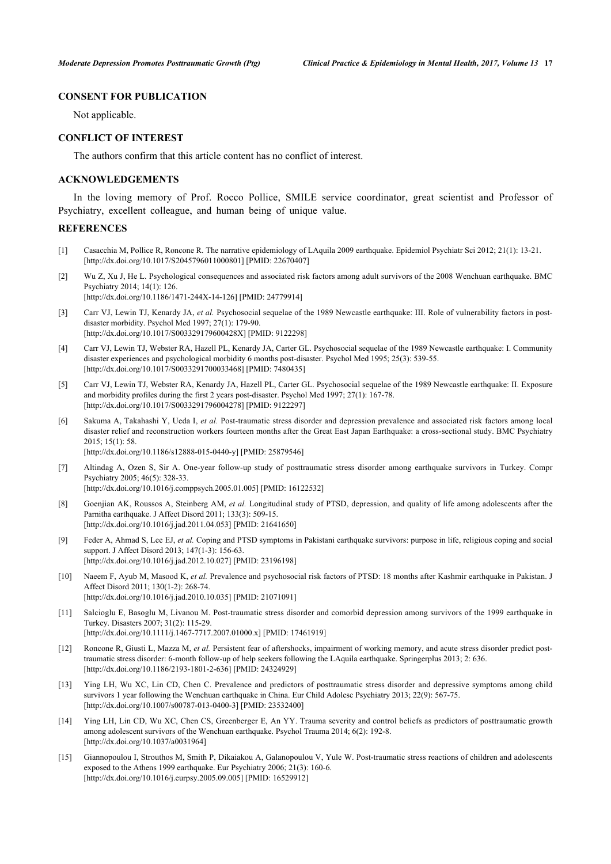# **CONSENT FOR PUBLICATION**

Not applicable.

#### **CONFLICT OF INTEREST**

The authors confirm that this article content has no conflict of interest.

# **ACKNOWLEDGEMENTS**

In the loving memory of Prof. Rocco Pollice, SMILE service coordinator, great scientist and Professor of Psychiatry, excellent colleague, and human being of unique value.

#### **REFERENCES**

- <span id="page-7-0"></span>[1] Casacchia M, Pollice R, Roncone R. The narrative epidemiology of LAquila 2009 earthquake. Epidemiol Psychiatr Sci 2012; 21(1): 13-21. [\[http://dx.doi.org/10.1017/S2045796011000801](http://dx.doi.org/10.1017/S2045796011000801)] [PMID: [22670407\]](http://www.ncbi.nlm.nih.gov/pubmed/22670407)
- <span id="page-7-1"></span>[2] Wu Z, Xu J, He L. Psychological consequences and associated risk factors among adult survivors of the 2008 Wenchuan earthquake. BMC Psychiatry 2014; 14(1): 126. [\[http://dx.doi.org/10.1186/1471-244X-14-126\]](http://dx.doi.org/10.1186/1471-244X-14-126) [PMID: [24779914](http://www.ncbi.nlm.nih.gov/pubmed/24779914)]
- <span id="page-7-2"></span>[3] Carr VJ, Lewin TJ, Kenardy JA, *et al.* Psychosocial sequelae of the 1989 Newcastle earthquake: III. Role of vulnerability factors in postdisaster morbidity. Psychol Med 1997; 27(1): 179-90. [\[http://dx.doi.org/10.1017/S003329179600428X](http://dx.doi.org/10.1017/S003329179600428X)] [PMID: [9122298\]](http://www.ncbi.nlm.nih.gov/pubmed/9122298)
- [4] Carr VJ, Lewin TJ, Webster RA, Hazell PL, Kenardy JA, Carter GL. Psychosocial sequelae of the 1989 Newcastle earthquake: I. Community disaster experiences and psychological morbidity 6 months post-disaster. Psychol Med 1995; 25(3): 539-55. [\[http://dx.doi.org/10.1017/S0033291700033468](http://dx.doi.org/10.1017/S0033291700033468)] [PMID: [7480435\]](http://www.ncbi.nlm.nih.gov/pubmed/7480435)
- [5] Carr VJ, Lewin TJ, Webster RA, Kenardy JA, Hazell PL, Carter GL. Psychosocial sequelae of the 1989 Newcastle earthquake: II. Exposure and morbidity profiles during the first 2 years post-disaster. Psychol Med 1997; 27(1): 167-78. [\[http://dx.doi.org/10.1017/S0033291796004278](http://dx.doi.org/10.1017/S0033291796004278)] [PMID: [9122297\]](http://www.ncbi.nlm.nih.gov/pubmed/9122297)
- <span id="page-7-3"></span>[6] Sakuma A, Takahashi Y, Ueda I, *et al.* Post-traumatic stress disorder and depression prevalence and associated risk factors among local disaster relief and reconstruction workers fourteen months after the Great East Japan Earthquake: a cross-sectional study. BMC Psychiatry 2015; 15(1): 58.

[\[http://dx.doi.org/10.1186/s12888-015-0440-y\]](http://dx.doi.org/10.1186/s12888-015-0440-y) [PMID: [25879546](http://www.ncbi.nlm.nih.gov/pubmed/25879546)]

- <span id="page-7-4"></span>[7] Altindag A, Ozen S, Sir A. One-year follow-up study of posttraumatic stress disorder among earthquake survivors in Turkey. Compr Psychiatry 2005; 46(5): 328-33. [\[http://dx.doi.org/10.1016/j.comppsych.2005.01.005](http://dx.doi.org/10.1016/j.comppsych.2005.01.005)] [PMID: [16122532](http://www.ncbi.nlm.nih.gov/pubmed/16122532)]
- <span id="page-7-5"></span>[8] Goenjian AK, Roussos A, Steinberg AM, *et al.* Longitudinal study of PTSD, depression, and quality of life among adolescents after the Parnitha earthquake. J Affect Disord 2011; 133(3): 509-15. [\[http://dx.doi.org/10.1016/j.jad.2011.04.053\]](http://dx.doi.org/10.1016/j.jad.2011.04.053) [PMID: [21641650](http://www.ncbi.nlm.nih.gov/pubmed/21641650)]
- <span id="page-7-6"></span>[9] Feder A, Ahmad S, Lee EJ, *et al.* Coping and PTSD symptoms in Pakistani earthquake survivors: purpose in life, religious coping and social support. J Affect Disord 2013; 147(1-3): 156-63. [\[http://dx.doi.org/10.1016/j.jad.2012.10.027\]](http://dx.doi.org/10.1016/j.jad.2012.10.027) [PMID: [23196198](http://www.ncbi.nlm.nih.gov/pubmed/23196198)]
- [10] Naeem F, Ayub M, Masood K, *et al.* Prevalence and psychosocial risk factors of PTSD: 18 months after Kashmir earthquake in Pakistan. J Affect Disord 2011; 130(1-2): 268-74. [\[http://dx.doi.org/10.1016/j.jad.2010.10.035\]](http://dx.doi.org/10.1016/j.jad.2010.10.035) [PMID: [21071091](http://www.ncbi.nlm.nih.gov/pubmed/21071091)]
- <span id="page-7-7"></span>[11] Salcioglu E, Basoglu M, Livanou M. Post-traumatic stress disorder and comorbid depression among survivors of the 1999 earthquake in Turkey. Disasters 2007; 31(2): 115-29. [\[http://dx.doi.org/10.1111/j.1467-7717.2007.01000.x\]](http://dx.doi.org/10.1111/j.1467-7717.2007.01000.x) [PMID: [17461919](http://www.ncbi.nlm.nih.gov/pubmed/17461919)]
- <span id="page-7-8"></span>[12] Roncone R, Giusti L, Mazza M, *et al.* Persistent fear of aftershocks, impairment of working memory, and acute stress disorder predict posttraumatic stress disorder: 6-month follow-up of help seekers following the LAquila earthquake. Springerplus 2013; 2: 636. [\[http://dx.doi.org/10.1186/2193-1801-2-636\]](http://dx.doi.org/10.1186/2193-1801-2-636) [PMID: [24324929](http://www.ncbi.nlm.nih.gov/pubmed/24324929)]
- <span id="page-7-9"></span>[13] Ying LH, Wu XC, Lin CD, Chen C. Prevalence and predictors of posttraumatic stress disorder and depressive symptoms among child survivors 1 year following the Wenchuan earthquake in China. Eur Child Adolesc Psychiatry 2013; 22(9): 567-75. [\[http://dx.doi.org/10.1007/s00787-013-0400-3\]](http://dx.doi.org/10.1007/s00787-013-0400-3) [PMID: [23532400](http://www.ncbi.nlm.nih.gov/pubmed/23532400)]
- <span id="page-7-10"></span>[14] Ying LH, Lin CD, Wu XC, Chen CS, Greenberger E, An YY. Trauma severity and control beliefs as predictors of posttraumatic growth among adolescent survivors of the Wenchuan earthquake. Psychol Trauma 2014; 6(2): 192-8. [\[http://dx.doi.org/10.1037/a0031964](http://dx.doi.org/10.1037/a0031964)]
- <span id="page-7-11"></span>[15] Giannopoulou I, Strouthos M, Smith P, Dikaiakou A, Galanopoulou V, Yule W. Post-traumatic stress reactions of children and adolescents exposed to the Athens 1999 earthquake. Eur Psychiatry 2006; 21(3): 160-6. [\[http://dx.doi.org/10.1016/j.eurpsy.2005.09.005](http://dx.doi.org/10.1016/j.eurpsy.2005.09.005)] [PMID: [16529912\]](http://www.ncbi.nlm.nih.gov/pubmed/16529912)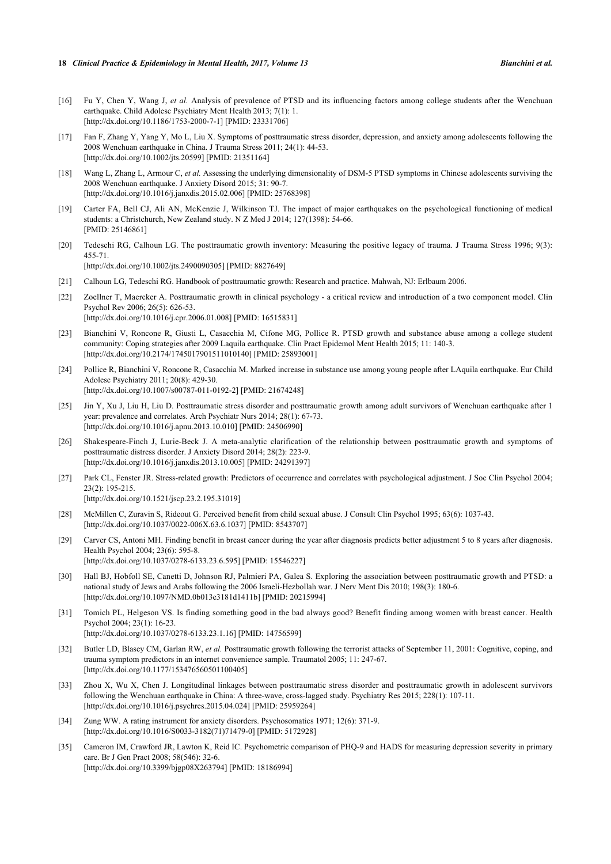- <span id="page-8-0"></span>[16] Fu Y, Chen Y, Wang J, *et al.* Analysis of prevalence of PTSD and its influencing factors among college students after the Wenchuan earthquake. Child Adolesc Psychiatry Ment Health 2013; 7(1): 1. [\[http://dx.doi.org/10.1186/1753-2000-7-1\]](http://dx.doi.org/10.1186/1753-2000-7-1) [PMID: [23331706](http://www.ncbi.nlm.nih.gov/pubmed/23331706)]
- <span id="page-8-1"></span>[17] Fan F, Zhang Y, Yang Y, Mo L, Liu X. Symptoms of posttraumatic stress disorder, depression, and anxiety among adolescents following the 2008 Wenchuan earthquake in China. J Trauma Stress 2011; 24(1): 44-53. [\[http://dx.doi.org/10.1002/jts.20599](http://dx.doi.org/10.1002/jts.20599)] [PMID: [21351164\]](http://www.ncbi.nlm.nih.gov/pubmed/21351164)
- <span id="page-8-2"></span>[18] Wang L, Zhang L, Armour C, *et al.* Assessing the underlying dimensionality of DSM-5 PTSD symptoms in Chinese adolescents surviving the 2008 Wenchuan earthquake. J Anxiety Disord 2015; 31: 90-7. [\[http://dx.doi.org/10.1016/j.janxdis.2015.02.006](http://dx.doi.org/10.1016/j.janxdis.2015.02.006)] [PMID: [25768398\]](http://www.ncbi.nlm.nih.gov/pubmed/25768398)
- <span id="page-8-3"></span>[19] Carter FA, Bell CJ, Ali AN, McKenzie J, Wilkinson TJ. The impact of major earthquakes on the psychological functioning of medical students: a Christchurch, New Zealand study. N Z Med J 2014; 127(1398): 54-66. [PMID: [25146861\]](http://www.ncbi.nlm.nih.gov/pubmed/25146861)
- <span id="page-8-4"></span>[20] Tedeschi RG, Calhoun LG. The posttraumatic growth inventory: Measuring the positive legacy of trauma. J Trauma Stress 1996; 9(3): 455-71. [\[http://dx.doi.org/10.1002/jts.2490090305](http://dx.doi.org/10.1002/jts.2490090305)] [PMID: [8827649\]](http://www.ncbi.nlm.nih.gov/pubmed/8827649)
- <span id="page-8-5"></span>[21] Calhoun LG, Tedeschi RG. Handbook of posttraumatic growth: Research and practice. Mahwah, NJ: Erlbaum 2006.
- <span id="page-8-6"></span>[22] Zoellner T, Maercker A. Posttraumatic growth in clinical psychology - a critical review and introduction of a two component model. Clin Psychol Rev 2006; 26(5): 626-53. [\[http://dx.doi.org/10.1016/j.cpr.2006.01.008](http://dx.doi.org/10.1016/j.cpr.2006.01.008)] [PMID: [16515831\]](http://www.ncbi.nlm.nih.gov/pubmed/16515831)
- <span id="page-8-7"></span>[23] Bianchini V, Roncone R, Giusti L, Casacchia M, Cifone MG, Pollice R. PTSD growth and substance abuse among a college student community: Coping strategies after 2009 Laquila earthquake. Clin Pract Epidemol Ment Health 2015; 11: 140-3. [\[http://dx.doi.org/10.2174/1745017901511010140\]](http://dx.doi.org/10.2174/1745017901511010140) [PMID: [25893001](http://www.ncbi.nlm.nih.gov/pubmed/25893001)]
- <span id="page-8-8"></span>[24] Pollice R, Bianchini V, Roncone R, Casacchia M. Marked increase in substance use among young people after LAquila earthquake. Eur Child Adolesc Psychiatry 2011; 20(8): 429-30. [\[http://dx.doi.org/10.1007/s00787-011-0192-2\]](http://dx.doi.org/10.1007/s00787-011-0192-2) [PMID: [21674248](http://www.ncbi.nlm.nih.gov/pubmed/21674248)]
- <span id="page-8-9"></span>[25] Jin Y, Xu J, Liu H, Liu D. Posttraumatic stress disorder and posttraumatic growth among adult survivors of Wenchuan earthquake after 1 year: prevalence and correlates. Arch Psychiatr Nurs 2014; 28(1): 67-73. [\[http://dx.doi.org/10.1016/j.apnu.2013.10.010\]](http://dx.doi.org/10.1016/j.apnu.2013.10.010) [PMID: [24506990](http://www.ncbi.nlm.nih.gov/pubmed/24506990)]
- <span id="page-8-10"></span>[26] Shakespeare-Finch J, Lurie-Beck J. A meta-analytic clarification of the relationship between posttraumatic growth and symptoms of posttraumatic distress disorder. J Anxiety Disord 2014; 28(2): 223-9. [\[http://dx.doi.org/10.1016/j.janxdis.2013.10.005](http://dx.doi.org/10.1016/j.janxdis.2013.10.005)] [PMID: [24291397\]](http://www.ncbi.nlm.nih.gov/pubmed/24291397)
- <span id="page-8-11"></span>[27] Park CL, Fenster JR. Stress-related growth: Predictors of occurrence and correlates with psychological adjustment. J Soc Clin Psychol 2004; 23(2): 195-215. [\[http://dx.doi.org/10.1521/jscp.23.2.195.31019\]](http://dx.doi.org/10.1521/jscp.23.2.195.31019)
- <span id="page-8-12"></span>[28] McMillen C, Zuravin S, Rideout G. Perceived benefit from child sexual abuse. J Consult Clin Psychol 1995; 63(6): 1037-43. [\[http://dx.doi.org/10.1037/0022-006X.63.6.1037](http://dx.doi.org/10.1037/0022-006X.63.6.1037)] [PMID: [8543707\]](http://www.ncbi.nlm.nih.gov/pubmed/8543707)
- <span id="page-8-13"></span>[29] Carver CS, Antoni MH. Finding benefit in breast cancer during the year after diagnosis predicts better adjustment 5 to 8 years after diagnosis. Health Psychol 2004; 23(6): 595-8. [\[http://dx.doi.org/10.1037/0278-6133.23.6.595](http://dx.doi.org/10.1037/0278-6133.23.6.595)] [PMID: [15546227](http://www.ncbi.nlm.nih.gov/pubmed/15546227)]
- <span id="page-8-14"></span>[30] Hall BJ, Hobfoll SE, Canetti D, Johnson RJ, Palmieri PA, Galea S. Exploring the association between posttraumatic growth and PTSD: a national study of Jews and Arabs following the 2006 Israeli-Hezbollah war. J Nerv Ment Dis 2010; 198(3): 180-6. [\[http://dx.doi.org/10.1097/NMD.0b013e3181d1411b](http://dx.doi.org/10.1097/NMD.0b013e3181d1411b)] [PMID: [20215994\]](http://www.ncbi.nlm.nih.gov/pubmed/20215994)
- <span id="page-8-15"></span>[31] Tomich PL, Helgeson VS. Is finding something good in the bad always good? Benefit finding among women with breast cancer. Health Psychol 2004; 23(1): 16-23. [\[http://dx.doi.org/10.1037/0278-6133.23.1.16](http://dx.doi.org/10.1037/0278-6133.23.1.16)] [PMID: [14756599](http://www.ncbi.nlm.nih.gov/pubmed/14756599)]
- <span id="page-8-16"></span>[32] Butler LD, Blasey CM, Garlan RW, *et al.* Posttraumatic growth following the terrorist attacks of September 11, 2001: Cognitive, coping, and trauma symptom predictors in an internet convenience sample. Traumatol 2005; 11: 247-67. [\[http://dx.doi.org/10.1177/153476560501100405\]](http://dx.doi.org/10.1177/153476560501100405)
- <span id="page-8-17"></span>[33] Zhou X, Wu X, Chen J. Longitudinal linkages between posttraumatic stress disorder and posttraumatic growth in adolescent survivors following the Wenchuan earthquake in China: A three-wave, cross-lagged study. Psychiatry Res 2015; 228(1): 107-11. [\[http://dx.doi.org/10.1016/j.psychres.2015.04.024](http://dx.doi.org/10.1016/j.psychres.2015.04.024)] [PMID: [25959264\]](http://www.ncbi.nlm.nih.gov/pubmed/25959264)
- <span id="page-8-18"></span>[34] Zung WW. A rating instrument for anxiety disorders. Psychosomatics 1971; 12(6): 371-9. [\[http://dx.doi.org/10.1016/S0033-3182\(71\)71479-0\]](http://dx.doi.org/10.1016/S0033-3182(71)71479-0) [PMID: [5172928](http://www.ncbi.nlm.nih.gov/pubmed/5172928)]
- <span id="page-8-19"></span>[35] Cameron IM, Crawford JR, Lawton K, Reid IC. Psychometric comparison of PHQ-9 and HADS for measuring depression severity in primary care. Br J Gen Pract 2008; 58(546): 32-6. [\[http://dx.doi.org/10.3399/bjgp08X263794\]](http://dx.doi.org/10.3399/bjgp08X263794) [PMID: [18186994](http://www.ncbi.nlm.nih.gov/pubmed/18186994)]